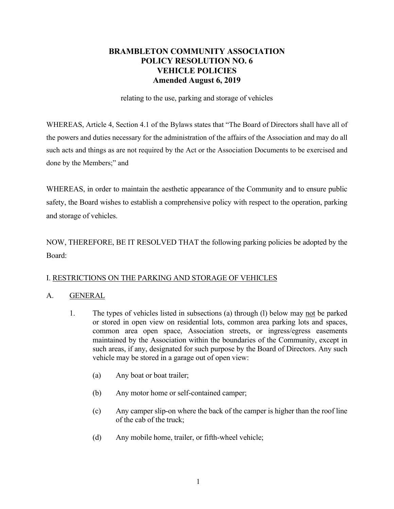## **BRAMBLETON COMMUNITY ASSOCIATION POLICY RESOLUTION NO. 6 VEHICLE POLICIES Amended August 6, 2019**

relating to the use, parking and storage of vehicles

WHEREAS, Article 4, Section 4.1 of the Bylaws states that "The Board of Directors shall have all of the powers and duties necessary for the administration of the affairs of the Association and may do all such acts and things as are not required by the Act or the Association Documents to be exercised and done by the Members;" and

WHEREAS, in order to maintain the aesthetic appearance of the Community and to ensure public safety, the Board wishes to establish a comprehensive policy with respect to the operation, parking and storage of vehicles.

NOW, THEREFORE, BE IT RESOLVED THAT the following parking policies be adopted by the Board:

## I. RESTRICTIONS ON THE PARKING AND STORAGE OF VEHICLES

#### A. GENERAL

- 1. The types of vehicles listed in subsections (a) through (l) below may not be parked or stored in open view on residential lots, common area parking lots and spaces, common area open space, Association streets, or ingress/egress easements maintained by the Association within the boundaries of the Community, except in such areas, if any, designated for such purpose by the Board of Directors. Any such vehicle may be stored in a garage out of open view:
	- (a) Any boat or boat trailer;
	- (b) Any motor home or self-contained camper;
	- (c) Any camper slip-on where the back of the camper is higher than the roof line of the cab of the truck;
	- (d) Any mobile home, trailer, or fifth-wheel vehicle;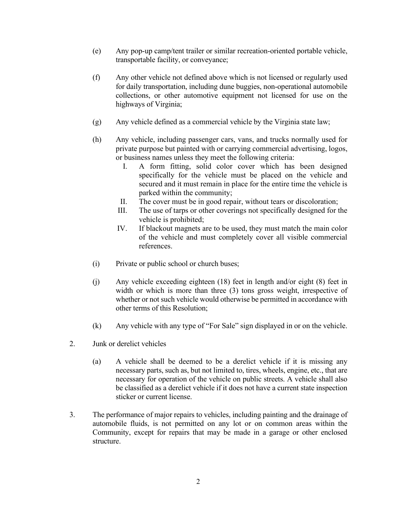- (e) Any pop-up camp/tent trailer or similar recreation-oriented portable vehicle, transportable facility, or conveyance;
- (f) Any other vehicle not defined above which is not licensed or regularly used for daily transportation, including dune buggies, non-operational automobile collections, or other automotive equipment not licensed for use on the highways of Virginia;
- (g) Any vehicle defined as a commercial vehicle by the Virginia state law;
- (h) Any vehicle, including passenger cars, vans, and trucks normally used for private purpose but painted with or carrying commercial advertising, logos, or business names unless they meet the following criteria:
	- I. A form fitting, solid color cover which has been designed specifically for the vehicle must be placed on the vehicle and secured and it must remain in place for the entire time the vehicle is parked within the community;
	- II. The cover must be in good repair, without tears or discoloration;
	- III. The use of tarps or other coverings not specifically designed for the vehicle is prohibited;
	- IV. If blackout magnets are to be used, they must match the main color of the vehicle and must completely cover all visible commercial references.
- (i) Private or public school or church buses;
- (j) Any vehicle exceeding eighteen (18) feet in length and/or eight (8) feet in width or which is more than three (3) tons gross weight, irrespective of whether or not such vehicle would otherwise be permitted in accordance with other terms of this Resolution;
- (k) Any vehicle with any type of "For Sale" sign displayed in or on the vehicle.
- 2. Junk or derelict vehicles
	- (a) A vehicle shall be deemed to be a derelict vehicle if it is missing any necessary parts, such as, but not limited to, tires, wheels, engine, etc., that are necessary for operation of the vehicle on public streets. A vehicle shall also be classified as a derelict vehicle if it does not have a current state inspection sticker or current license.
- 3. The performance of major repairs to vehicles, including painting and the drainage of automobile fluids, is not permitted on any lot or on common areas within the Community, except for repairs that may be made in a garage or other enclosed structure.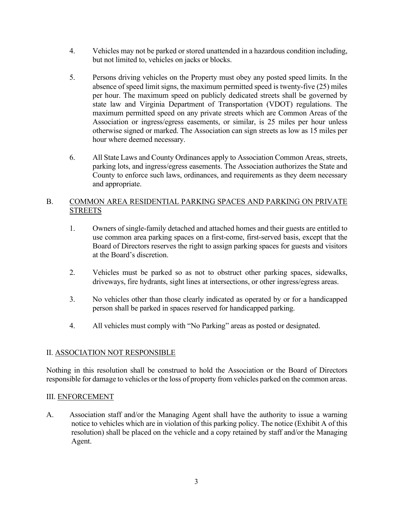- 4. Vehicles may not be parked or stored unattended in a hazardous condition including, but not limited to, vehicles on jacks or blocks.
- 5. Persons driving vehicles on the Property must obey any posted speed limits. In the absence of speed limit signs, the maximum permitted speed is twenty-five (25) miles per hour. The maximum speed on publicly dedicated streets shall be governed by state law and Virginia Department of Transportation (VDOT) regulations. The maximum permitted speed on any private streets which are Common Areas of the Association or ingress/egress easements, or similar, is 25 miles per hour unless otherwise signed or marked. The Association can sign streets as low as 15 miles per hour where deemed necessary.
- 6. All State Laws and County Ordinances apply to Association Common Areas, streets, parking lots, and ingress/egress easements. The Association authorizes the State and County to enforce such laws, ordinances, and requirements as they deem necessary and appropriate.

## B. COMMON AREA RESIDENTIAL PARKING SPACES AND PARKING ON PRIVATE **STREETS**

- 1. Owners of single-family detached and attached homes and their guests are entitled to use common area parking spaces on a first-come, first-served basis, except that the Board of Directors reserves the right to assign parking spaces for guests and visitors at the Board's discretion.
- 2. Vehicles must be parked so as not to obstruct other parking spaces, sidewalks, driveways, fire hydrants, sight lines at intersections, or other ingress/egress areas.
- 3. No vehicles other than those clearly indicated as operated by or for a handicapped person shall be parked in spaces reserved for handicapped parking.
- 4. All vehicles must comply with "No Parking" areas as posted or designated.

## II. ASSOCIATION NOT RESPONSIBLE

Nothing in this resolution shall be construed to hold the Association or the Board of Directors responsible for damage to vehicles or the loss of property from vehicles parked on the common areas.

## III. ENFORCEMENT

A. Association staff and/or the Managing Agent shall have the authority to issue a warning notice to vehicles which are in violation of this parking policy. The notice (Exhibit A of this resolution) shall be placed on the vehicle and a copy retained by staff and/or the Managing Agent.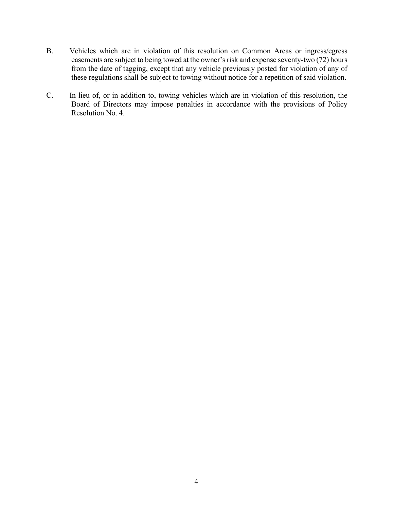- B. Vehicles which are in violation of this resolution on Common Areas or ingress/egress easements are subject to being towed at the owner's risk and expense seventy-two (72) hours from the date of tagging, except that any vehicle previously posted for violation of any of these regulations shall be subject to towing without notice for a repetition of said violation.
- C. In lieu of, or in addition to, towing vehicles which are in violation of this resolution, the Board of Directors may impose penalties in accordance with the provisions of Policy Resolution No. 4.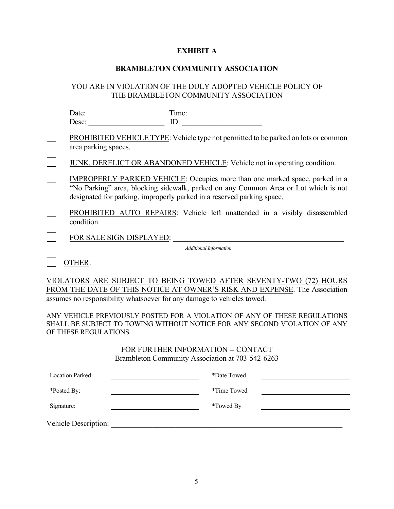#### **EXHIBIT A**

#### **BRAMBLETON COMMUNITY ASSOCIATION**

## YOU ARE IN VIOLATION OF THE DULY ADOPTED VEHICLE POLICY OF THE BRAMBLETON COMMUNITY ASSOCIATION

| Date:                                                                                                                                                 | Time:                                                                                     |                               |  |  |
|-------------------------------------------------------------------------------------------------------------------------------------------------------|-------------------------------------------------------------------------------------------|-------------------------------|--|--|
| Desc:                                                                                                                                                 | ID:                                                                                       |                               |  |  |
| area parking spaces.                                                                                                                                  | <b>PROHIBITED VEHICLE TYPE: Vehicle type not permitted to be parked on lots or common</b> |                               |  |  |
| JUNK, DERELICT OR ABANDONED VEHICLE: Vehicle not in operating condition.                                                                              |                                                                                           |                               |  |  |
| IMPROPERLY PARKED VEHICLE: Occupies more than one marked space, parked in a<br>designated for parking, improperly parked in a reserved parking space. | "No Parking" area, blocking sidewalk, parked on any Common Area or Lot which is not       |                               |  |  |
| condition.                                                                                                                                            | PROHIBITED AUTO REPAIRS: Vehicle left unattended in a visibly disassembled                |                               |  |  |
| FOR SALE SIGN DISPLAYED:                                                                                                                              |                                                                                           |                               |  |  |
|                                                                                                                                                       |                                                                                           | <b>Additional Information</b> |  |  |
| THER                                                                                                                                                  |                                                                                           |                               |  |  |

VIOLATORS ARE SUBJECT TO BEING TOWED AFTER SEVENTY-TWO (72) HOURS FROM THE DATE OF THIS NOTICE AT OWNER'S RISK AND EXPENSE. The Association assumes no responsibility whatsoever for any damage to vehicles towed.

ANY VEHICLE PREVIOUSLY POSTED FOR A VIOLATION OF ANY OF THESE REGULATIONS SHALL BE SUBJECT TO TOWING WITHOUT NOTICE FOR ANY SECOND VIOLATION OF ANY OF THESE REGULATIONS.

## FOR FURTHER INFORMATION -- CONTACT Brambleton Community Association at 703-542-6263

| <b>Location Parked:</b> | *Date Towed |
|-------------------------|-------------|
| *Posted By:             | *Time Towed |
| Signature:              | *Towed By   |
| Vehicle Description:    |             |